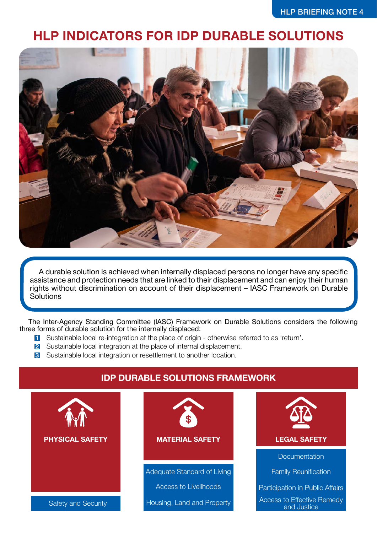## **HLP INDICATORS FOR IDP DURABLE SOLUTIONS**



A durable solution is achieved when internally displaced persons no longer have any specific assistance and protection needs that are linked to their displacement and can enjoy their human rights without discrimination on account of their displacement – IASC Framework on Durable **Solutions** 

The Inter-Agency Standing Committee (IASC) Framework on Durable Solutions considers the following three forms of durable solution for the internally displaced:

- **1** Sustainable local re-integration at the place of origin otherwise referred to as 'return'.
- 2 Sustainable local integration at the place of internal displacement.
- **3** Sustainable local integration or resettlement to another location.